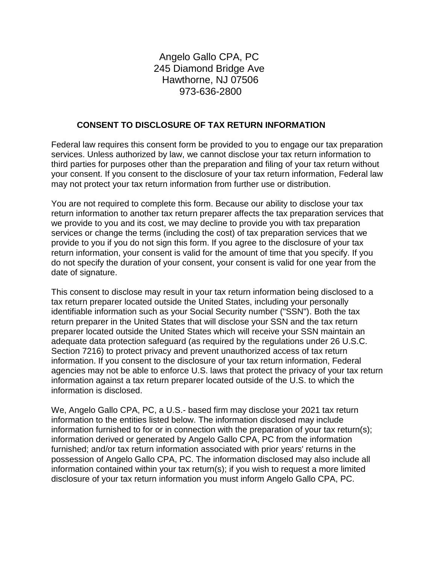# Angelo Gallo CPA, PC 245 Diamond Bridge Ave Hawthorne, NJ 07506 973-636-2800

#### **CONSENT TO DISCLOSURE OF TAX RETURN INFORMATION**

Federal law requires this consent form be provided to you to engage our tax preparation services. Unless authorized by law, we cannot disclose your tax return information to third parties for purposes other than the preparation and filing of your tax return without your consent. If you consent to the disclosure of your tax return information, Federal law may not protect your tax return information from further use or distribution.

You are not required to complete this form. Because our ability to disclose your tax return information to another tax return preparer affects the tax preparation services that we provide to you and its cost, we may decline to provide you with tax preparation services or change the terms (including the cost) of tax preparation services that we provide to you if you do not sign this form. If you agree to the disclosure of your tax return information, your consent is valid for the amount of time that you specify. If you do not specify the duration of your consent, your consent is valid for one year from the date of signature.

This consent to disclose may result in your tax return information being disclosed to a tax return preparer located outside the United States, including your personally identifiable information such as your Social Security number ("SSN"). Both the tax return preparer in the United States that will disclose your SSN and the tax return preparer located outside the United States which will receive your SSN maintain an adequate data protection safeguard (as required by the regulations under 26 U.S.C. Section 7216) to protect privacy and prevent unauthorized access of tax return information. If you consent to the disclosure of your tax return information, Federal agencies may not be able to enforce U.S. laws that protect the privacy of your tax return information against a tax return preparer located outside of the U.S. to which the information is disclosed.

We, Angelo Gallo CPA, PC, a U.S.- based firm may disclose your 2021 tax return information to the entities listed below. The information disclosed may include information furnished to for or in connection with the preparation of your tax return(s); information derived or generated by Angelo Gallo CPA, PC from the information furnished; and/or tax return information associated with prior years' returns in the possession of Angelo Gallo CPA, PC. The information disclosed may also include all information contained within your tax return(s); if you wish to request a more limited disclosure of your tax return information you must inform Angelo Gallo CPA, PC.